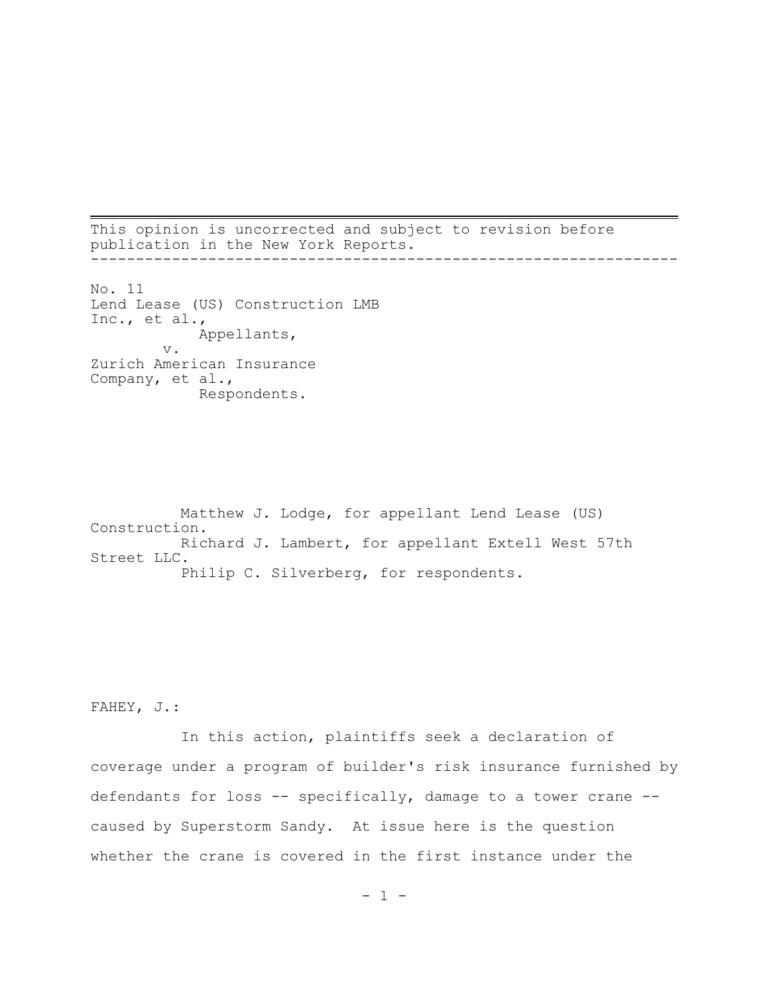This opinion is uncorrected and subject to revision before publication in the New York Reports. -----------------------------------------------------------------

No. 11 Lend Lease (US) Construction LMB Inc., et al., Appellants, v. Zurich American Insurance Company, et al., Respondents.

Matthew J. Lodge, for appellant Lend Lease (US) Construction. Richard J. Lambert, for appellant Extell West 57th Street LLC. Philip C. Silverberg, for respondents.

FAHEY, J.:

In this action, plaintiffs seek a declaration of coverage under a program of builder's risk insurance furnished by defendants for loss -- specifically, damage to a tower crane - caused by Superstorm Sandy. At issue here is the question whether the crane is covered in the first instance under the

 $- 1 -$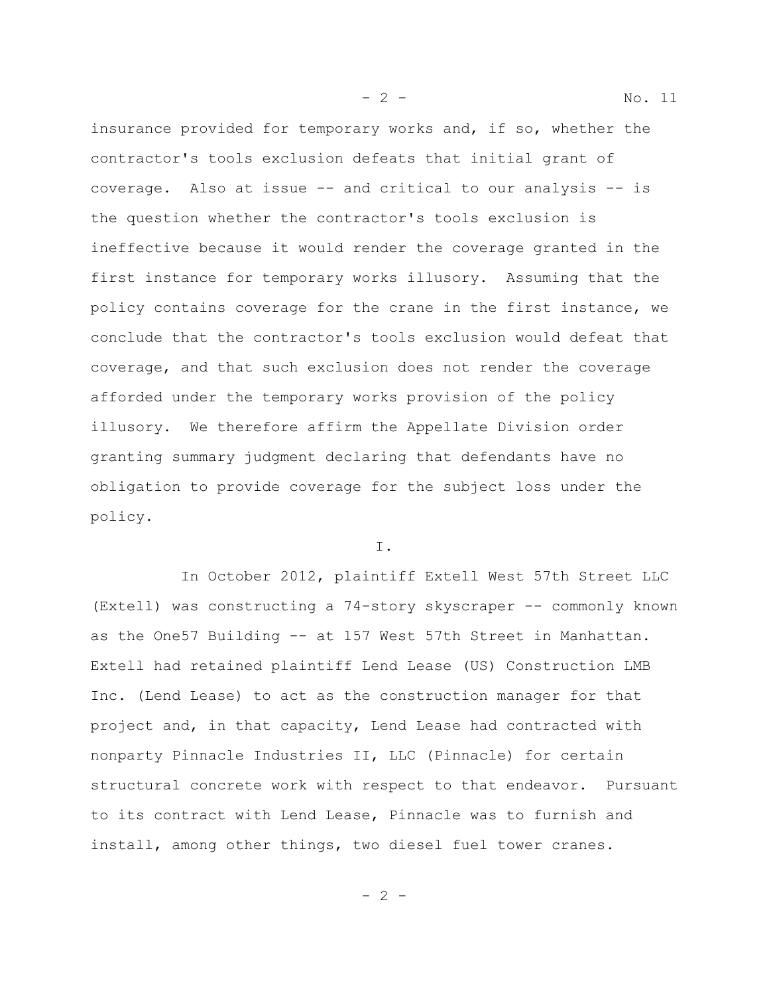insurance provided for temporary works and, if so, whether the contractor's tools exclusion defeats that initial grant of coverage. Also at issue -- and critical to our analysis -- is the question whether the contractor's tools exclusion is ineffective because it would render the coverage granted in the first instance for temporary works illusory. Assuming that the policy contains coverage for the crane in the first instance, we conclude that the contractor's tools exclusion would defeat that coverage, and that such exclusion does not render the coverage afforded under the temporary works provision of the policy illusory. We therefore affirm the Appellate Division order granting summary judgment declaring that defendants have no obligation to provide coverage for the subject loss under the policy.

I.

In October 2012, plaintiff Extell West 57th Street LLC (Extell) was constructing a 74-story skyscraper -- commonly known as the One57 Building -- at 157 West 57th Street in Manhattan. Extell had retained plaintiff Lend Lease (US) Construction LMB Inc. (Lend Lease) to act as the construction manager for that project and, in that capacity, Lend Lease had contracted with nonparty Pinnacle Industries II, LLC (Pinnacle) for certain structural concrete work with respect to that endeavor. Pursuant to its contract with Lend Lease, Pinnacle was to furnish and install, among other things, two diesel fuel tower cranes.

- 2 - No. 11

 $- 2 -$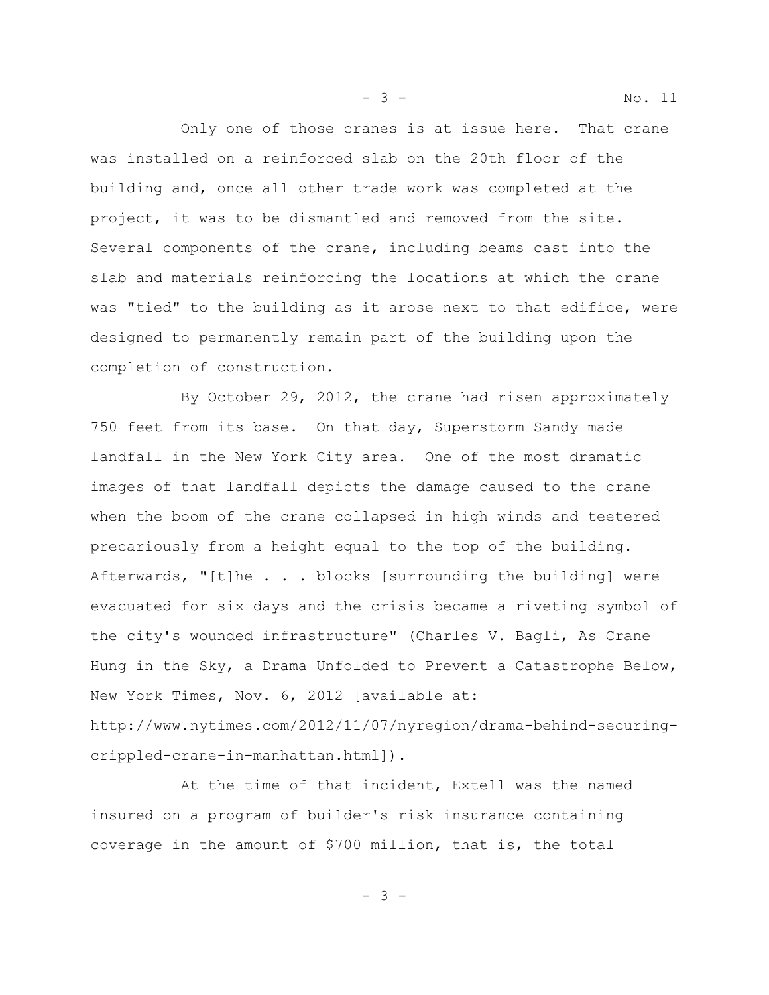Only one of those cranes is at issue here. That crane was installed on a reinforced slab on the 20th floor of the building and, once all other trade work was completed at the project, it was to be dismantled and removed from the site. Several components of the crane, including beams cast into the slab and materials reinforcing the locations at which the crane was "tied" to the building as it arose next to that edifice, were designed to permanently remain part of the building upon the completion of construction.

By October 29, 2012, the crane had risen approximately 750 feet from its base. On that day, Superstorm Sandy made landfall in the New York City area. One of the most dramatic images of that landfall depicts the damage caused to the crane when the boom of the crane collapsed in high winds and teetered precariously from a height equal to the top of the building. Afterwards, "[t]he . . . blocks [surrounding the building] were evacuated for six days and the crisis became a riveting symbol of the city's wounded infrastructure" (Charles V. Bagli, As Crane Hung in the Sky, a Drama Unfolded to Prevent a Catastrophe Below, New York Times, Nov. 6, 2012 [available at: http://www.nytimes.com/2012/11/07/nyregion/drama-behind-securingcrippled-crane-in-manhattan.html]).

At the time of that incident, Extell was the named insured on a program of builder's risk insurance containing coverage in the amount of \$700 million, that is, the total

- 3 -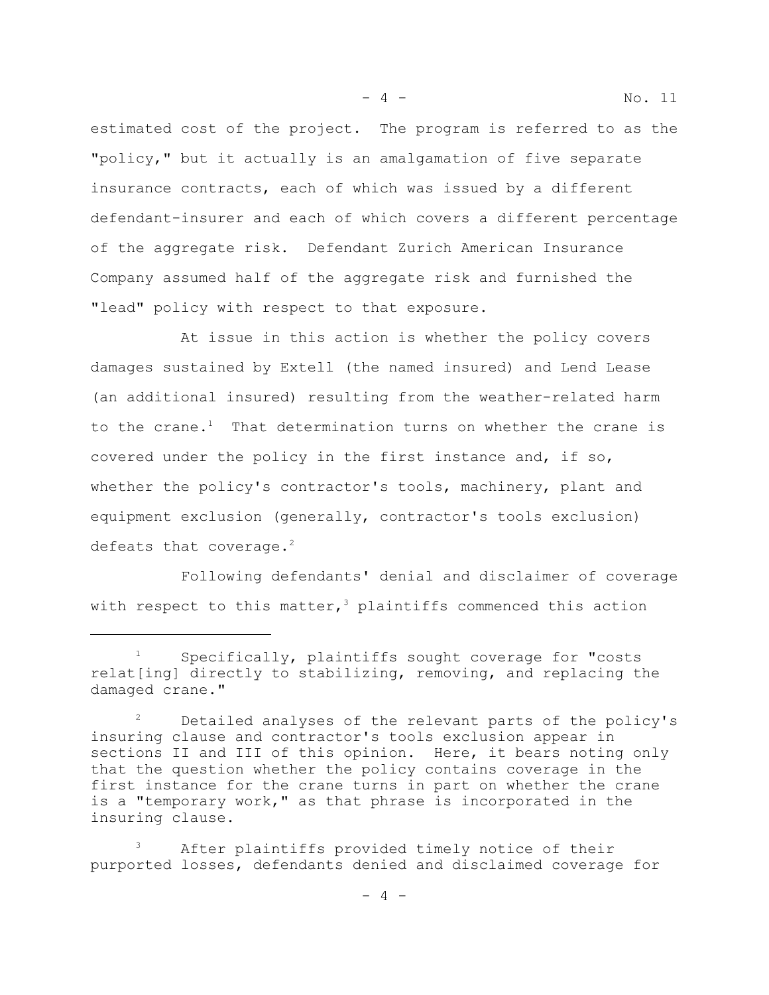estimated cost of the project. The program is referred to as the "policy," but it actually is an amalgamation of five separate insurance contracts, each of which was issued by a different defendant-insurer and each of which covers a different percentage of the aggregate risk. Defendant Zurich American Insurance Company assumed half of the aggregate risk and furnished the "lead" policy with respect to that exposure.

At issue in this action is whether the policy covers damages sustained by Extell (the named insured) and Lend Lease (an additional insured) resulting from the weather-related harm to the crane.<sup>1</sup> That determination turns on whether the crane is covered under the policy in the first instance and, if so, whether the policy's contractor's tools, machinery, plant and equipment exclusion (generally, contractor's tools exclusion) defeats that coverage. $2$ 

Following defendants' denial and disclaimer of coverage with respect to this matter,<sup>3</sup> plaintiffs commenced this action

- 4 - No. 11

Specifically, plaintiffs sought coverage for "costs relat[ing] directly to stabilizing, removing, and replacing the damaged crane."

Detailed analyses of the relevant parts of the policy's insuring clause and contractor's tools exclusion appear in sections II and III of this opinion. Here, it bears noting only that the question whether the policy contains coverage in the first instance for the crane turns in part on whether the crane is a "temporary work," as that phrase is incorporated in the insuring clause.

After plaintiffs provided timely notice of their purported losses, defendants denied and disclaimed coverage for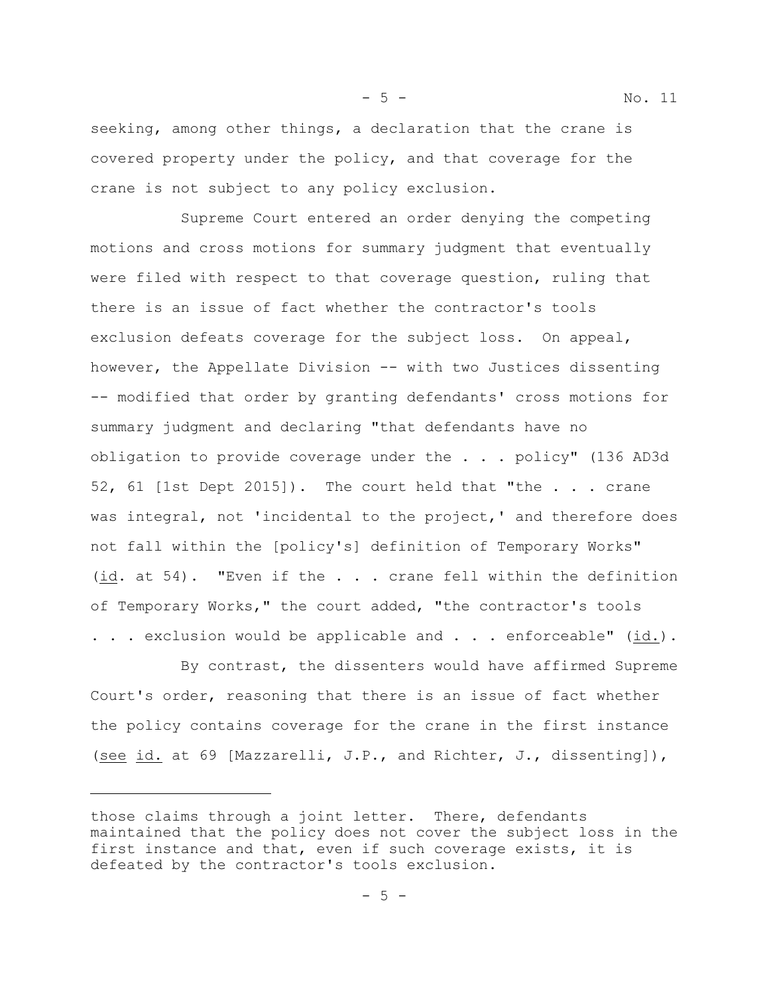seeking, among other things, a declaration that the crane is covered property under the policy, and that coverage for the crane is not subject to any policy exclusion.

- 5 - No. 11

Supreme Court entered an order denying the competing motions and cross motions for summary judgment that eventually were filed with respect to that coverage question, ruling that there is an issue of fact whether the contractor's tools exclusion defeats coverage for the subject loss. On appeal, however, the Appellate Division -- with two Justices dissenting -- modified that order by granting defendants' cross motions for summary judgment and declaring "that defendants have no obligation to provide coverage under the . . . policy" (136 AD3d 52, 61 [1st Dept 2015]). The court held that "the . . . crane was integral, not 'incidental to the project,' and therefore does not fall within the [policy's] definition of Temporary Works" (id. at 54). "Even if the . . . crane fell within the definition of Temporary Works," the court added, "the contractor's tools . . . exclusion would be applicable and . . . enforceable" (id.).

By contrast, the dissenters would have affirmed Supreme Court's order, reasoning that there is an issue of fact whether the policy contains coverage for the crane in the first instance (see id. at 69 [Mazzarelli, J.P., and Richter, J., dissenting]),

those claims through a joint letter. There, defendants maintained that the policy does not cover the subject loss in the first instance and that, even if such coverage exists, it is defeated by the contractor's tools exclusion.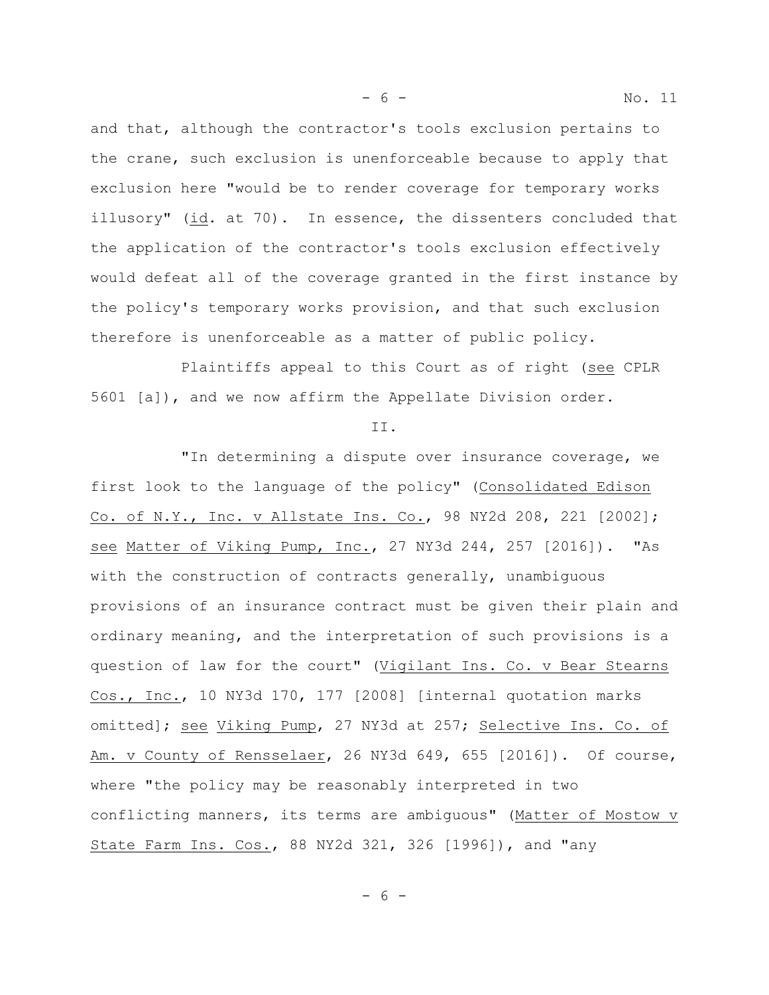- 6 - No. 11

and that, although the contractor's tools exclusion pertains to the crane, such exclusion is unenforceable because to apply that exclusion here "would be to render coverage for temporary works illusory" (id. at 70). In essence, the dissenters concluded that the application of the contractor's tools exclusion effectively would defeat all of the coverage granted in the first instance by the policy's temporary works provision, and that such exclusion therefore is unenforceable as a matter of public policy.

Plaintiffs appeal to this Court as of right (see CPLR 5601 [a]), and we now affirm the Appellate Division order.

II.

"In determining a dispute over insurance coverage, we first look to the language of the policy" (Consolidated Edison Co. of N.Y., Inc. v Allstate Ins. Co., 98 NY2d 208, 221 [2002]; see Matter of Viking Pump, Inc., 27 NY3d 244, 257 [2016]). "As with the construction of contracts generally, unambiguous provisions of an insurance contract must be given their plain and ordinary meaning, and the interpretation of such provisions is a question of law for the court" (Vigilant Ins. Co. v Bear Stearns Cos., Inc., 10 NY3d 170, 177 [2008] [internal quotation marks omitted]; see Viking Pump, 27 NY3d at 257; Selective Ins. Co. of Am. v County of Rensselaer, 26 NY3d 649, 655 [2016]). Of course, where "the policy may be reasonably interpreted in two conflicting manners, its terms are ambiguous" (Matter of Mostow v State Farm Ins. Cos., 88 NY2d 321, 326 [1996]), and "any

- 6 -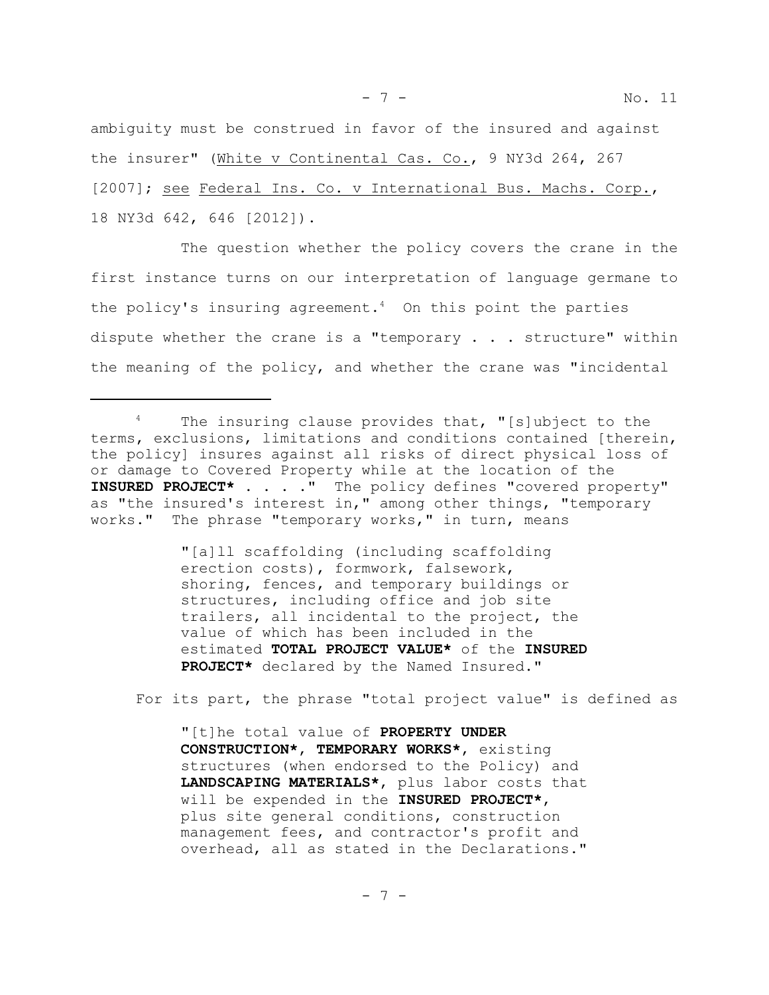ambiguity must be construed in favor of the insured and against the insurer" (White v Continental Cas. Co., 9 NY3d 264, 267 [2007]; see Federal Ins. Co. v International Bus. Machs. Corp., 18 NY3d 642, 646 [2012]).

The question whether the policy covers the crane in the first instance turns on our interpretation of language germane to the policy's insuring agreement. $4$  On this point the parties dispute whether the crane is a "temporary  $\ldots$  structure" within the meaning of the policy, and whether the crane was "incidental

"[a]ll scaffolding (including scaffolding erection costs), formwork, falsework, shoring, fences, and temporary buildings or structures, including office and job site trailers, all incidental to the project, the value of which has been included in the estimated **TOTAL PROJECT VALUE\*** of the **INSURED PROJECT\*** declared by the Named Insured."

For its part, the phrase "total project value" is defined as

"[t]he total value of **PROPERTY UNDER CONSTRUCTION\***, **TEMPORARY WORKS\***, existing structures (when endorsed to the Policy) and **LANDSCAPING MATERIALS\***, plus labor costs that will be expended in the **INSURED PROJECT\***, plus site general conditions, construction management fees, and contractor's profit and overhead, all as stated in the Declarations."

<sup>&</sup>lt;sup>4</sup> The insuring clause provides that, "[s]ubject to the terms, exclusions, limitations and conditions contained [therein, the policy] insures against all risks of direct physical loss of or damage to Covered Property while at the location of the **INSURED PROJECT\*** . . . ." The policy defines "covered property" as "the insured's interest in," among other things, "temporary works." The phrase "temporary works," in turn, means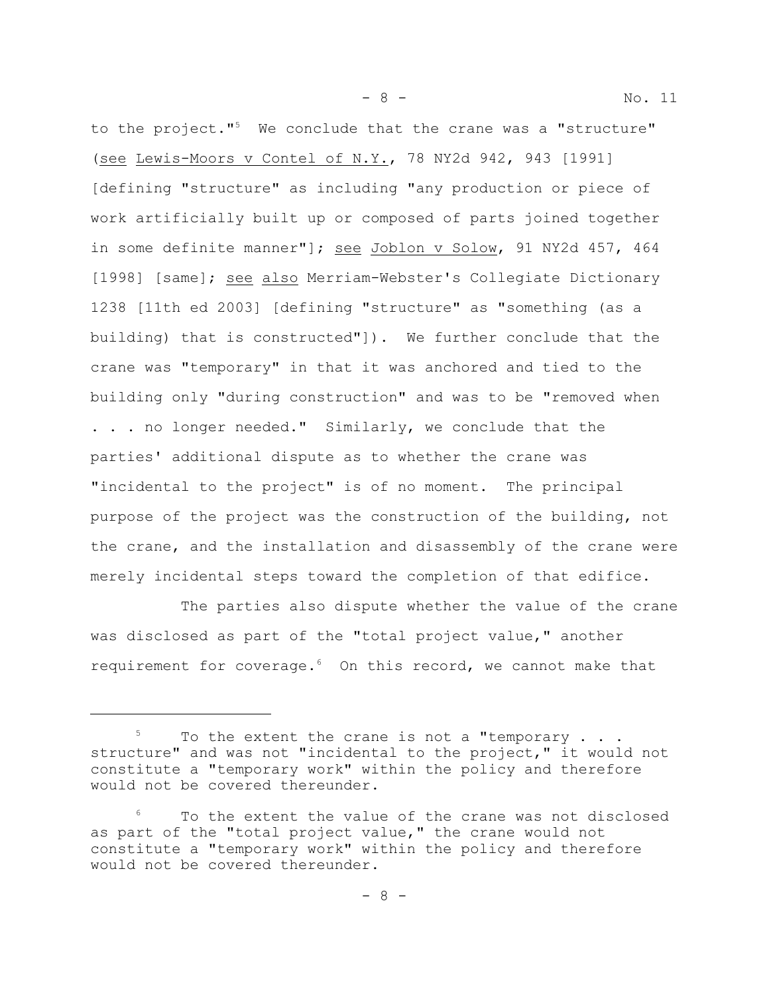to the project."<sup>5</sup> We conclude that the crane was a "structure" (see Lewis-Moors v Contel of N.Y., 78 NY2d 942, 943 [1991] [defining "structure" as including "any production or piece of work artificially built up or composed of parts joined together in some definite manner"]; see Joblon v Solow, 91 NY2d 457, 464 [1998] [same]; see also Merriam-Webster's Collegiate Dictionary 1238 [11th ed 2003] [defining "structure" as "something (as a building) that is constructed"]). We further conclude that the crane was "temporary" in that it was anchored and tied to the building only "during construction" and was to be "removed when . . . no longer needed." Similarly, we conclude that the parties' additional dispute as to whether the crane was "incidental to the project" is of no moment. The principal purpose of the project was the construction of the building, not the crane, and the installation and disassembly of the crane were merely incidental steps toward the completion of that edifice.

- 8 - No. 11

The parties also dispute whether the value of the crane was disclosed as part of the "total project value," another requirement for coverage.<sup>6</sup> On this record, we cannot make that

 $5$  To the extent the crane is not a "temporary . . . structure" and was not "incidental to the project," it would not constitute a "temporary work" within the policy and therefore would not be covered thereunder.

To the extent the value of the crane was not disclosed as part of the "total project value," the crane would not constitute a "temporary work" within the policy and therefore would not be covered thereunder.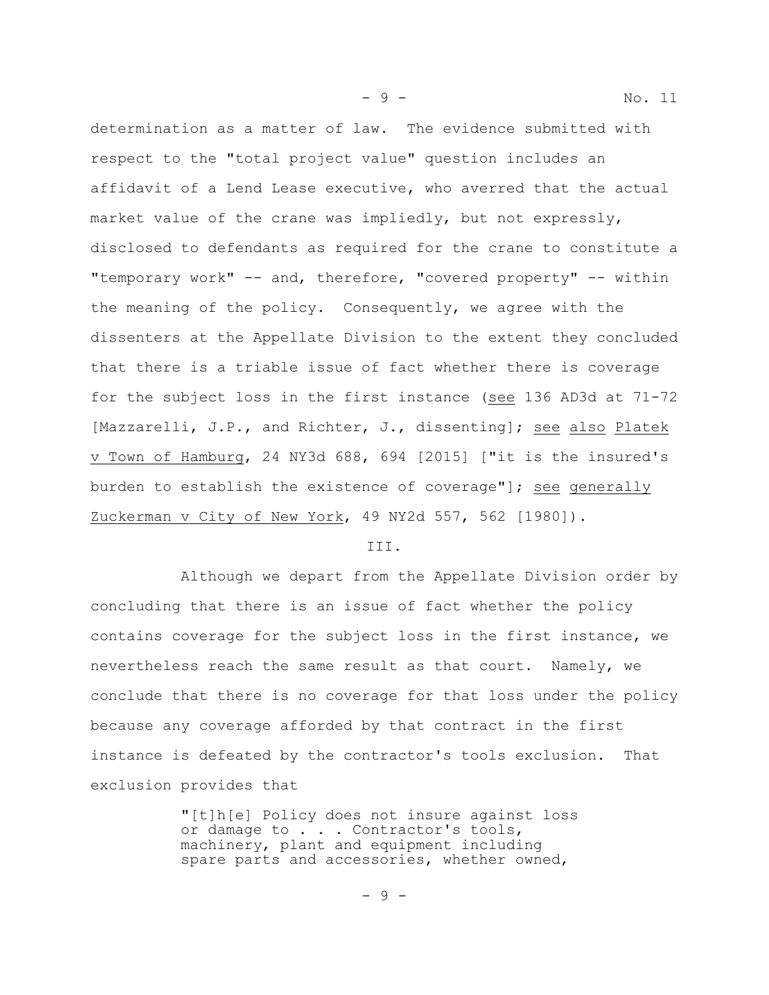determination as a matter of law. The evidence submitted with respect to the "total project value" question includes an affidavit of a Lend Lease executive, who averred that the actual market value of the crane was impliedly, but not expressly, disclosed to defendants as required for the crane to constitute a "temporary work" -- and, therefore, "covered property" -- within the meaning of the policy. Consequently, we agree with the dissenters at the Appellate Division to the extent they concluded that there is a triable issue of fact whether there is coverage for the subject loss in the first instance (see 136 AD3d at 71-72 [Mazzarelli, J.P., and Richter, J., dissenting]; see also Platek v Town of Hamburg, 24 NY3d 688, 694 [2015] ["it is the insured's burden to establish the existence of coverage"]; see generally Zuckerman v City of New York, 49 NY2d 557, 562 [1980]).

## III.

Although we depart from the Appellate Division order by concluding that there is an issue of fact whether the policy contains coverage for the subject loss in the first instance, we nevertheless reach the same result as that court. Namely, we conclude that there is no coverage for that loss under the policy because any coverage afforded by that contract in the first instance is defeated by the contractor's tools exclusion. That exclusion provides that

> "[t]h[e] Policy does not insure against loss or damage to . . . Contractor's tools, machinery, plant and equipment including spare parts and accessories, whether owned,

- 9 - No. 11

- 9 -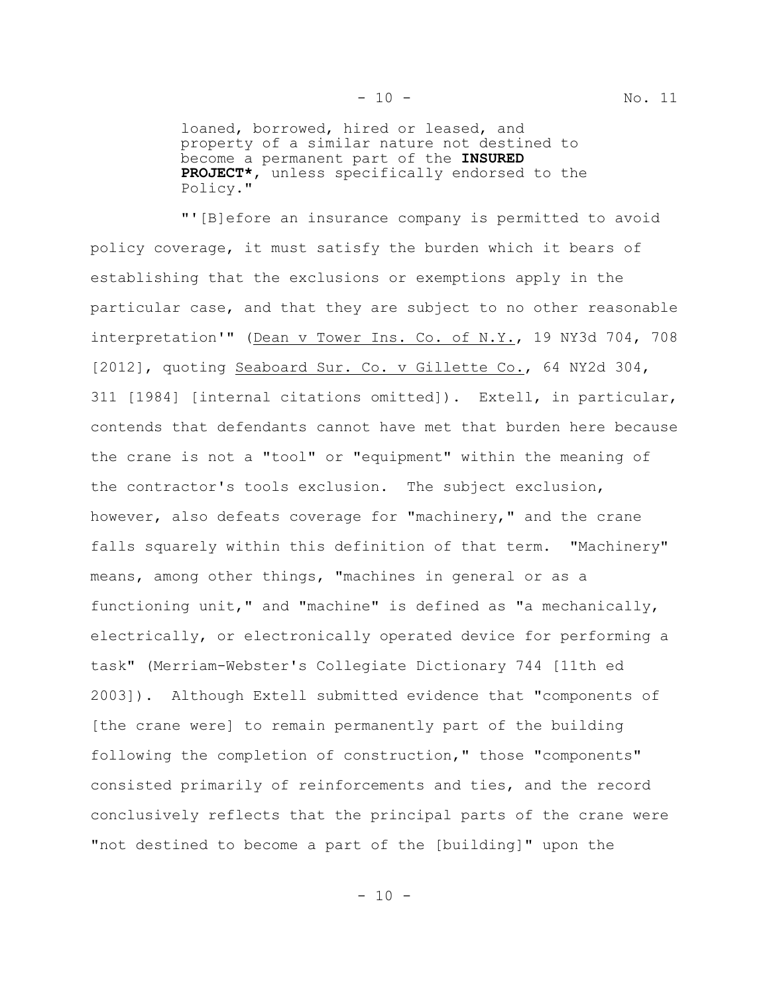loaned, borrowed, hired or leased, and property of a similar nature not destined to become a permanent part of the **INSURED PROJECT\***, unless specifically endorsed to the Policy."

"'[B]efore an insurance company is permitted to avoid policy coverage, it must satisfy the burden which it bears of establishing that the exclusions or exemptions apply in the particular case, and that they are subject to no other reasonable interpretation'" (Dean v Tower Ins. Co. of N.Y., 19 NY3d 704, 708 [2012], quoting Seaboard Sur. Co. v Gillette Co., 64 NY2d 304, 311 [1984] [internal citations omitted]). Extell, in particular, contends that defendants cannot have met that burden here because the crane is not a "tool" or "equipment" within the meaning of the contractor's tools exclusion. The subject exclusion, however, also defeats coverage for "machinery," and the crane falls squarely within this definition of that term. "Machinery" means, among other things, "machines in general or as a functioning unit," and "machine" is defined as "a mechanically, electrically, or electronically operated device for performing a task" (Merriam-Webster's Collegiate Dictionary 744 [11th ed 2003]). Although Extell submitted evidence that "components of [the crane were] to remain permanently part of the building following the completion of construction," those "components" consisted primarily of reinforcements and ties, and the record conclusively reflects that the principal parts of the crane were "not destined to become a part of the [building]" upon the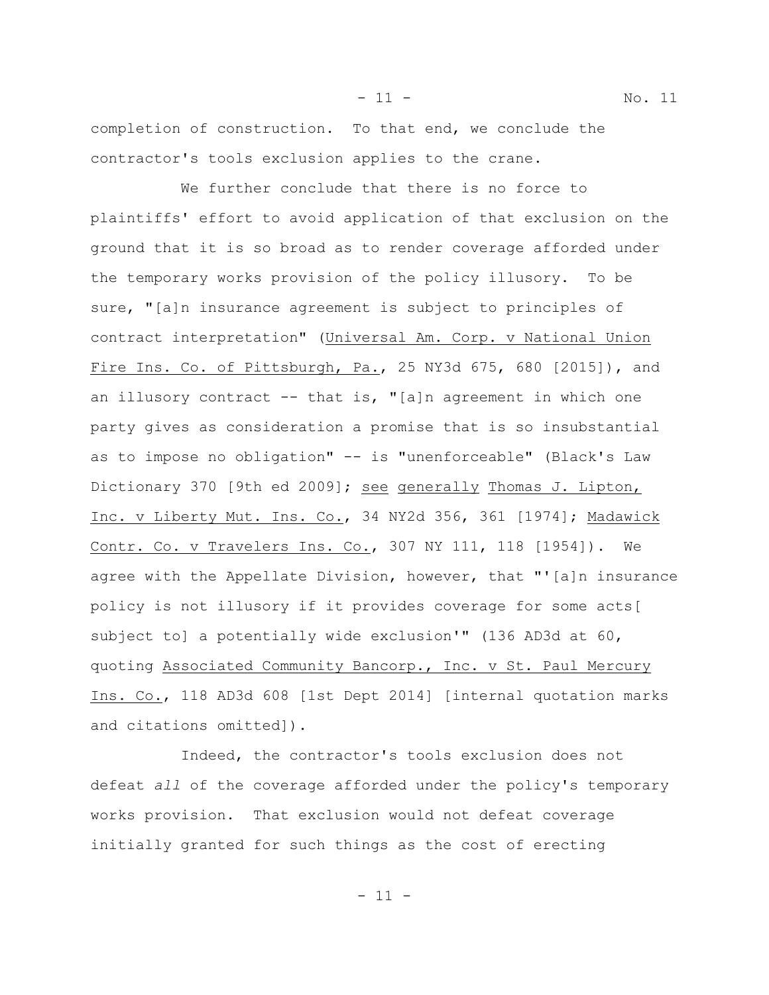completion of construction. To that end, we conclude the contractor's tools exclusion applies to the crane.

We further conclude that there is no force to plaintiffs' effort to avoid application of that exclusion on the ground that it is so broad as to render coverage afforded under the temporary works provision of the policy illusory. To be sure, "[a]n insurance agreement is subject to principles of contract interpretation" (Universal Am. Corp. v National Union Fire Ins. Co. of Pittsburgh, Pa., 25 NY3d 675, 680 [2015]), and an illusory contract  $--$  that is, "[a]n agreement in which one party gives as consideration a promise that is so insubstantial as to impose no obligation" -- is "unenforceable" (Black's Law Dictionary 370 [9th ed 2009]; see generally Thomas J. Lipton, Inc. v Liberty Mut. Ins. Co., 34 NY2d 356, 361 [1974]; Madawick Contr. Co. v Travelers Ins. Co., 307 NY 111, 118 [1954]). We agree with the Appellate Division, however, that "'[a]n insurance policy is not illusory if it provides coverage for some acts[ subject to] a potentially wide exclusion'" (136 AD3d at 60, quoting Associated Community Bancorp., Inc. v St. Paul Mercury Ins. Co., 118 AD3d 608 [1st Dept 2014] [internal quotation marks and citations omitted]).

Indeed, the contractor's tools exclusion does not defeat *all* of the coverage afforded under the policy's temporary works provision. That exclusion would not defeat coverage initially granted for such things as the cost of erecting

- 11 - No. 11

 $-11 -$